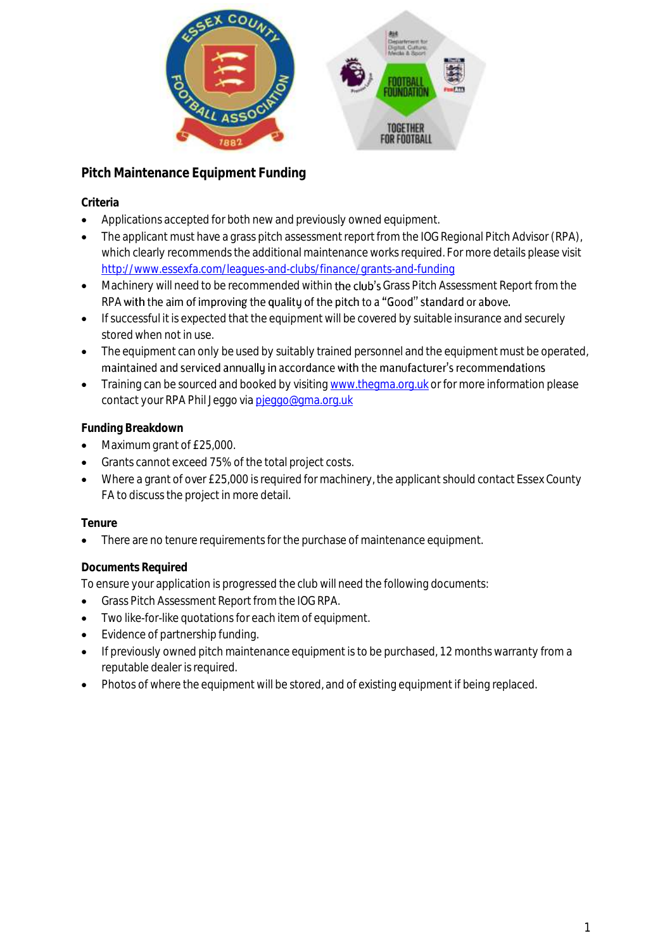

# **Pitch Maintenance Equipment Funding**

## **Criteria**

- Applications accepted for both new and previously owned equipment.
- The applicant must have a grass pitch assessment report from the IOG Regional Pitch Advisor (RPA), which clearly recommends the additional maintenance works required. For more details please visit <http://www.essexfa.com/leagues-and-clubs/finance/grants-and-funding>
- Machinery will need to be recommended within the club's Grass Pitch Assessment Report from the RPA with the aim of improving the quality of the pitch to a "Good" standard or above.
- If successful it is expected that the equipment will be covered by suitable insurance and securely stored when not in use.
- The equipment can only be used by suitably trained personnel and the equipment must be operated, maintained and serviced annually in accordance with the manufacturer's recommendations
- Training can be sourced and booked by visitin[g www.thegma.org.uk](http://www.thegma.org.uk/) or for more information please contact your RPA Phil Jeggo vi[a pjeggo@gma.org.uk](mailto:pjeggo@gma.org.uk)

## **Funding Breakdown**

- Maximum grant of £25,000.
- Grants cannot exceed 75% of the total project costs.
- Where a grant of over £25,000 is required for machinery, the applicant should contact Essex County FA to discuss the project in more detail.

### **Tenure**

There are no tenure requirements for the purchase of maintenance equipment.

### **Documents Required**

To ensure your application is progressed the club will need the following documents:

- Grass Pitch Assessment Report from the IOG RPA.
- Two like-for-like quotations for each item of equipment.
- Evidence of partnership funding.
- If previously owned pitch maintenance equipment is to be purchased, 12 months warranty from a reputable dealer is required.
- Photos of where the equipment will be stored, and of existing equipment if being replaced.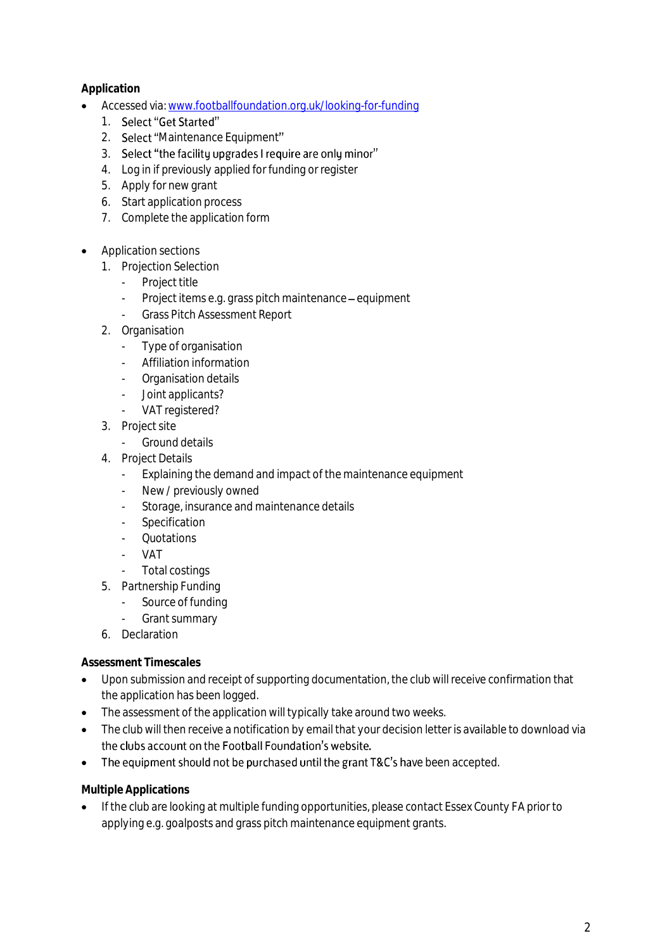**Application**

- Accessed via[: www.footballfoundation.org.uk/looking-for-funding](http://www.footballfoundation.org.uk/looking-for-funding)
	- 1. Select "Get Started"
	- 2. Select "Maintenance Equipment"
	- 3. Select "the facility upgrades I require are only minor"
	- 4. Log in if previously applied for funding or register
	- 5. Apply for new grant
	- 6. Start application process
	- 7. Complete the application form
- Application sections
	- 1. Projection Selection
		- Project title
		- Project items e.g. grass pitch maintenance equipment
			- Grass Pitch Assessment Report
	- 2. Organisation
		- Type of organisation
		- Affiliation information
		- Organisation details
		- Joint applicants?
		- VAT registered?
	- 3. Project site
		- Ground details
	- 4. Project Details
		- Explaining the demand and impact of the maintenance equipment
		- New / previously owned
		- Storage, insurance and maintenance details
		- **Specification**
		- Quotations
		- VAT
		- Total costings
	- 5. Partnership Funding
		- Source of funding
		- Grant summary
	- 6. Declaration

**Assessment Timescales**

- Upon submission and receipt of supporting documentation, the club will receive confirmation that the application has been logged.
- The assessment of the application will typically take around two weeks.
- The club will then receive a notification by email that your decision letter is available to download via the clubs account on the Football Foundation's website.
- The equipment should not be purchased until the grant T&C's have been accepted.

**Multiple Applications**

If the club are looking at multiple funding opportunities, please contact Essex County FA prior to applying e.g. goalposts and grass pitch maintenance equipment grants.